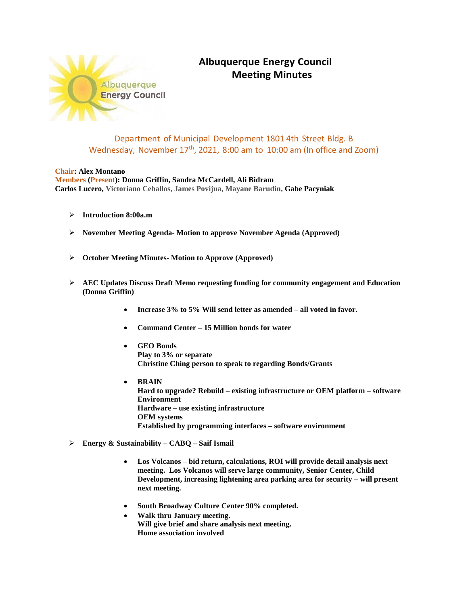

## **Albuquerque Energy Council Meeting Minutes**

## Department of Municipal Development 1801 4th Street Bldg. B Wednesday, November 17<sup>th</sup>, 2021, 8:00 am to 10:00 am (In office and Zoom)

## **Chair: Alex Montano**

**Members (Present): Donna Griffin, Sandra McCardell, Ali Bidram Carlos Lucero, Victoriano Ceballos, James Povijua, Mayane Barudin, Gabe Pacyniak**

- **Introduction 8:00a.m**
- **November Meeting Agenda- Motion to approve November Agenda (Approved)**
- **October Meeting Minutes- Motion to Approve (Approved)**
- **AEC Updates Discuss Draft Memo requesting funding for community engagement and Education (Donna Griffin)**
	- **Increase 3% to 5% Will send letter as amended – all voted in favor.**
	- **Command Center – 15 Million bonds for water**
	- **GEO Bonds Play to 3% or separate Christine Ching person to speak to regarding Bonds/Grants**
	- **BRAIN Hard to upgrade? Rebuild – existing infrastructure or OEM platform – software Environment Hardware – use existing infrastructure OEM systems Established by programming interfaces – software environment**
- **Energy & Sustainability – CABQ – Saif Ismail**
	- **Los Volcanos – bid return, calculations, ROI will provide detail analysis next meeting. Los Volcanos will serve large community, Senior Center, Child Development, increasing lightening area parking area for security – will present next meeting.**
	- **South Broadway Culture Center 90% completed.**
	- **Walk thru January meeting. Will give brief and share analysis next meeting. Home association involved**